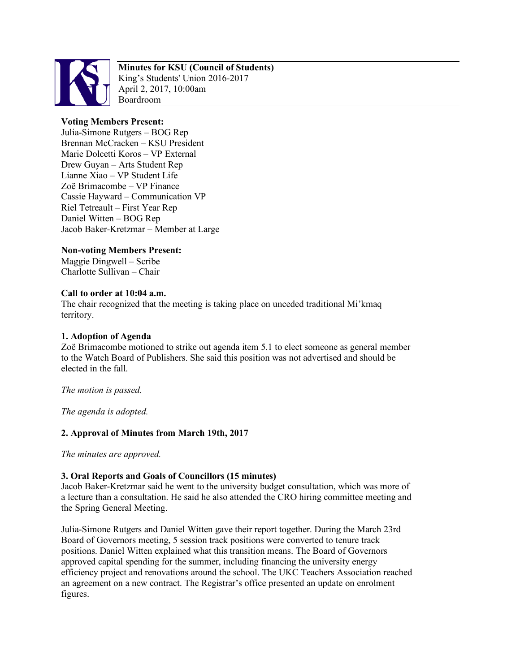

# **Minutes for KSU (Council of Students)**

King's Students' Union 2016-2017 April 2, 2017, 10:00am Boardroom

# **Voting Members Present:**

Julia-Simone Rutgers – BOG Rep Brennan McCracken – KSU President Marie Dolcetti Koros – VP External Drew Guyan – Arts Student Rep Lianne Xiao – VP Student Life Zoë Brimacombe – VP Finance Cassie Hayward – Communication VP Riel Tetreault – First Year Rep Daniel Witten – BOG Rep Jacob Baker-Kretzmar – Member at Large

# **Non-voting Members Present:**

Maggie Dingwell – Scribe Charlotte Sullivan – Chair

# **Call to order at 10:04 a.m.**

The chair recognized that the meeting is taking place on unceded traditional Mi'kmaq territory.

## **1. Adoption of Agenda**

Zoë Brimacombe motioned to strike out agenda item 5.1 to elect someone as general member to the Watch Board of Publishers. She said this position was not advertised and should be elected in the fall.

*The motion is passed.*

*The agenda is adopted.*

# **2. Approval of Minutes from March 19th, 2017**

*The minutes are approved.*

### **3. Oral Reports and Goals of Councillors (15 minutes)**

Jacob Baker-Kretzmar said he went to the university budget consultation, which was more of a lecture than a consultation. He said he also attended the CRO hiring committee meeting and the Spring General Meeting.

Julia-Simone Rutgers and Daniel Witten gave their report together. During the March 23rd Board of Governors meeting, 5 session track positions were converted to tenure track positions. Daniel Witten explained what this transition means. The Board of Governors approved capital spending for the summer, including financing the university energy efficiency project and renovations around the school. The UKC Teachers Association reached an agreement on a new contract. The Registrar's office presented an update on enrolment figures.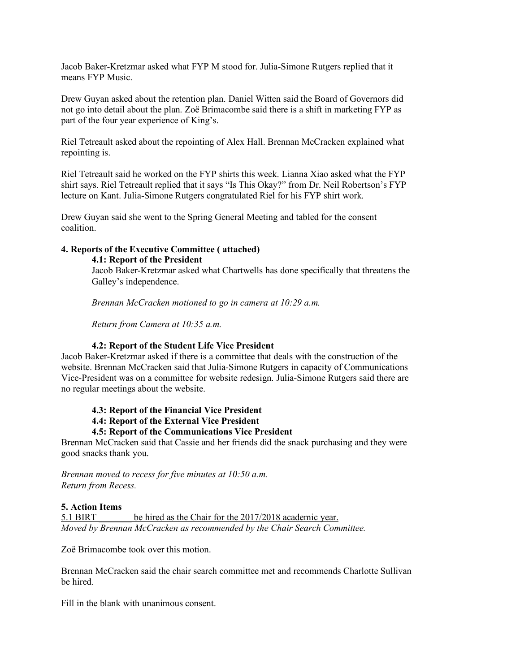Jacob Baker-Kretzmar asked what FYP M stood for. Julia-Simone Rutgers replied that it means FYP Music.

Drew Guyan asked about the retention plan. Daniel Witten said the Board of Governors did not go into detail about the plan. Zoë Brimacombe said there is a shift in marketing FYP as part of the four year experience of King's.

Riel Tetreault asked about the repointing of Alex Hall. Brennan McCracken explained what repointing is.

Riel Tetreault said he worked on the FYP shirts this week. Lianna Xiao asked what the FYP shirt says. Riel Tetreault replied that it says "Is This Okay?" from Dr. Neil Robertson's FYP lecture on Kant. Julia-Simone Rutgers congratulated Riel for his FYP shirt work.

Drew Guyan said she went to the Spring General Meeting and tabled for the consent coalition.

### **4. Reports of the Executive Committee ( attached)**

**4.1: Report of the President**

Jacob Baker-Kretzmar asked what Chartwells has done specifically that threatens the Galley's independence.

*Brennan McCracken motioned to go in camera at 10:29 a.m.*

*Return from Camera at 10:35 a.m.*

### **4.2: Report of the Student Life Vice President**

Jacob Baker-Kretzmar asked if there is a committee that deals with the construction of the website. Brennan McCracken said that Julia-Simone Rutgers in capacity of Communications Vice-President was on a committee for website redesign. Julia-Simone Rutgers said there are no regular meetings about the website.

#### **4.3: Report of the Financial Vice President**

**4.4: Report of the External Vice President**

#### **4.5: Report of the Communications Vice President**

Brennan McCracken said that Cassie and her friends did the snack purchasing and they were good snacks thank you.

*Brennan moved to recess for five minutes at 10:50 a.m. Return from Recess.*

#### **5. Action Items**

5.1 BIRT be hired as the Chair for the 2017/2018 academic year. *Moved by Brennan McCracken as recommended by the Chair Search Committee.*

Zoë Brimacombe took over this motion.

Brennan McCracken said the chair search committee met and recommends Charlotte Sullivan be hired.

Fill in the blank with unanimous consent.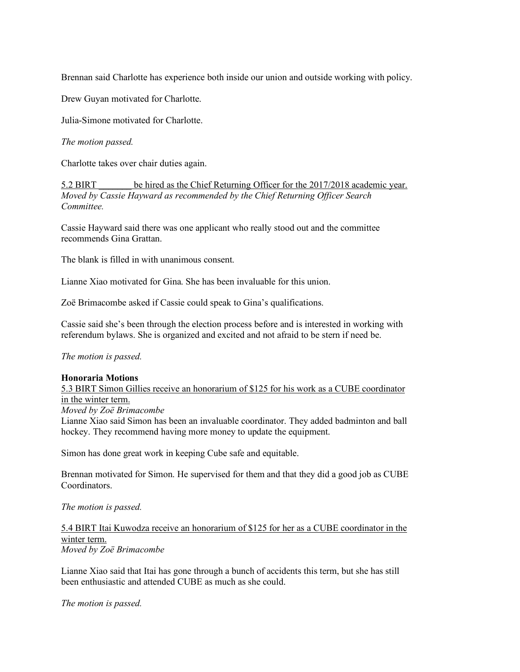Brennan said Charlotte has experience both inside our union and outside working with policy.

Drew Guyan motivated for Charlotte.

Julia-Simone motivated for Charlotte.

*The motion passed.*

Charlotte takes over chair duties again.

5.2 BIRT \_\_\_\_\_\_\_ be hired as the Chief Returning Officer for the 2017/2018 academic year. *Moved by Cassie Hayward as recommended by the Chief Returning Officer Search Committee.*

Cassie Hayward said there was one applicant who really stood out and the committee recommends Gina Grattan.

The blank is filled in with unanimous consent.

Lianne Xiao motivated for Gina. She has been invaluable for this union.

Zoë Brimacombe asked if Cassie could speak to Gina's qualifications.

Cassie said she's been through the election process before and is interested in working with referendum bylaws. She is organized and excited and not afraid to be stern if need be.

*The motion is passed.*

### **Honoraria Motions**

5.3 BIRT Simon Gillies receive an honorarium of \$125 for his work as a CUBE coordinator in the winter term.

*Moved by Zoë Brimacombe*

Lianne Xiao said Simon has been an invaluable coordinator. They added badminton and ball hockey. They recommend having more money to update the equipment.

Simon has done great work in keeping Cube safe and equitable.

Brennan motivated for Simon. He supervised for them and that they did a good job as CUBE Coordinators.

*The motion is passed.*

5.4 BIRT Itai Kuwodza receive an honorarium of \$125 for her as a CUBE coordinator in the winter term. *Moved by Zoë Brimacombe*

Lianne Xiao said that Itai has gone through a bunch of accidents this term, but she has still been enthusiastic and attended CUBE as much as she could.

*The motion is passed.*